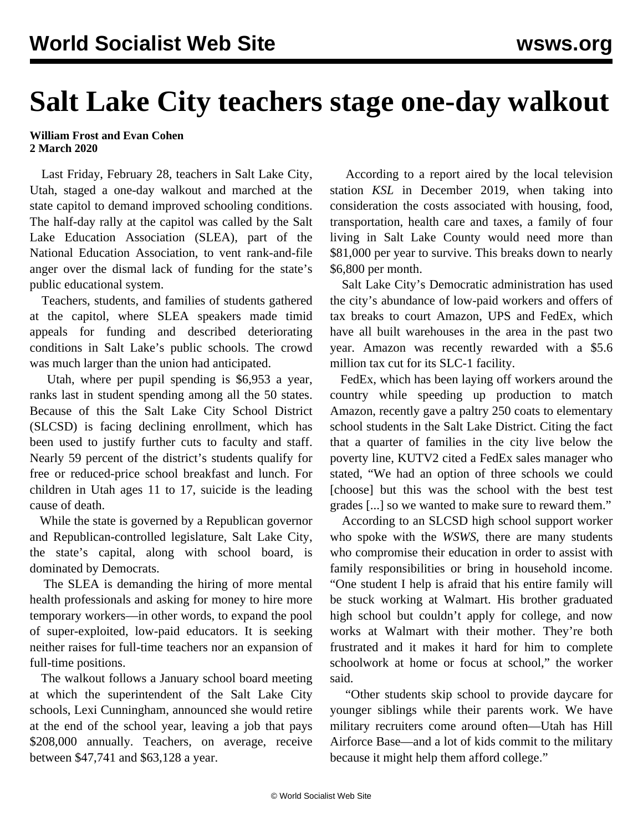## **Salt Lake City teachers stage one-day walkout**

## **William Frost and Evan Cohen 2 March 2020**

 Last Friday, February 28, teachers in Salt Lake City, Utah, staged a one-day walkout and marched at the state capitol to demand improved schooling conditions. The half-day rally at the capitol was called by the Salt Lake Education Association (SLEA), part of the National Education Association, to vent rank-and-file anger over the dismal lack of funding for the state's public educational system.

 Teachers, students, and families of students gathered at the capitol, where SLEA speakers made timid appeals for funding and described deteriorating conditions in Salt Lake's public schools. The crowd was much larger than the union had anticipated.

 Utah, where per pupil spending is \$6,953 a year, ranks last in student spending among all the 50 states. Because of this the Salt Lake City School District (SLCSD) is facing declining enrollment, which has been used to justify further cuts to faculty and staff. Nearly 59 percent of the district's students qualify for free or reduced-price school breakfast and lunch. For children in Utah ages 11 to 17, suicide is the leading cause of death.

 While the state is governed by a Republican governor and Republican-controlled legislature, Salt Lake City, the state's capital, along with school board, is dominated by Democrats.

 The SLEA is demanding the hiring of more mental health professionals and asking for money to hire more temporary workers—in other words, to expand the pool of super-exploited, low-paid educators. It is seeking neither raises for full-time teachers nor an expansion of full-time positions.

 The walkout follows a January school board meeting at which the superintendent of the Salt Lake City schools, Lexi Cunningham, announced she would retire at the end of the school year, leaving a job that pays \$208,000 annually. Teachers, on average, receive between \$47,741 and \$63,128 a year.

 According to a report aired by the local television station *KSL* in December 2019, when taking into consideration the costs associated with housing, food, transportation, health care and taxes, a family of four living in Salt Lake County would need more than \$81,000 per year to survive. This breaks down to nearly \$6,800 per month.

 Salt Lake City's Democratic administration has used the city's abundance of low-paid workers and offers of tax breaks to court Amazon, UPS and FedEx, which have all built warehouses in the area in the past two year. Amazon was recently rewarded with a \$5.6 million tax cut for its SLC-1 facility.

 FedEx, which has been laying off workers around the country while speeding up production to match Amazon, recently gave a paltry 250 coats to elementary school students in the Salt Lake District. Citing the fact that a quarter of families in the city live below the poverty line, KUTV2 cited a FedEx sales manager who stated, "We had an option of three schools we could [choose] but this was the school with the best test grades [...] so we wanted to make sure to reward them."

 According to an SLCSD high school support worker who spoke with the *WSWS*, there are many students who compromise their education in order to assist with family responsibilities or bring in household income. "One student I help is afraid that his entire family will be stuck working at Walmart. His brother graduated high school but couldn't apply for college, and now works at Walmart with their mother. They're both frustrated and it makes it hard for him to complete schoolwork at home or focus at school," the worker said.

 "Other students skip school to provide daycare for younger siblings while their parents work. We have military recruiters come around often—Utah has Hill Airforce Base—and a lot of kids commit to the military because it might help them afford college."